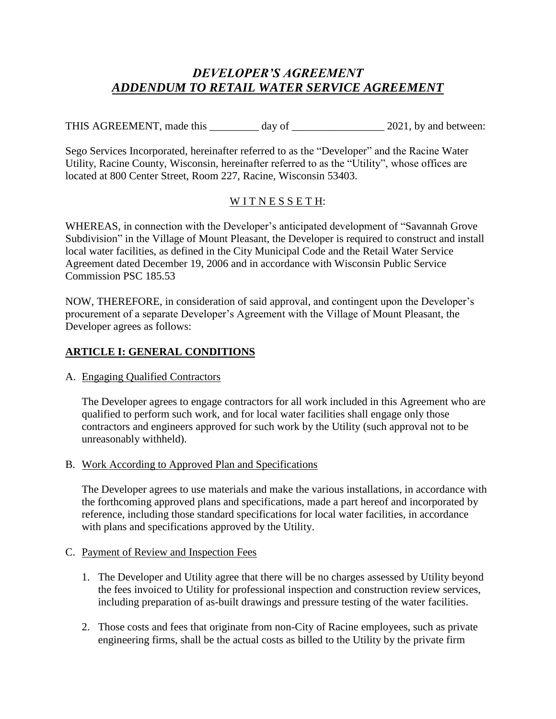# *DEVELOPER'S AGREEMENT ADDENDUM TO RETAIL WATER SERVICE AGREEMENT*

THIS AGREEMENT, made this \_\_\_\_\_\_\_\_\_ day of \_\_\_\_\_\_\_\_\_\_\_\_\_\_ 2021, by and between:

Sego Services Incorporated, hereinafter referred to as the "Developer" and the Racine Water Utility, Racine County, Wisconsin, hereinafter referred to as the "Utility", whose offices are located at 800 Center Street, Room 227, Racine, Wisconsin 53403.

## WITNESSETH:

WHEREAS, in connection with the Developer's anticipated development of "Savannah Grove Subdivision" in the Village of Mount Pleasant, the Developer is required to construct and install local water facilities, as defined in the City Municipal Code and the Retail Water Service Agreement dated December 19, 2006 and in accordance with Wisconsin Public Service Commission PSC 185.53

NOW, THEREFORE, in consideration of said approval, and contingent upon the Developer's procurement of a separate Developer's Agreement with the Village of Mount Pleasant, the Developer agrees as follows:

## **ARTICLE I: GENERAL CONDITIONS**

#### A. Engaging Qualified Contractors

The Developer agrees to engage contractors for all work included in this Agreement who are qualified to perform such work, and for local water facilities shall engage only those contractors and engineers approved for such work by the Utility (such approval not to be unreasonably withheld).

#### B. Work According to Approved Plan and Specifications

The Developer agrees to use materials and make the various installations, in accordance with the forthcoming approved plans and specifications, made a part hereof and incorporated by reference, including those standard specifications for local water facilities, in accordance with plans and specifications approved by the Utility.

#### C. Payment of Review and Inspection Fees

- 1. The Developer and Utility agree that there will be no charges assessed by Utility beyond the fees invoiced to Utility for professional inspection and construction review services, including preparation of as-built drawings and pressure testing of the water facilities.
- 2. Those costs and fees that originate from non-City of Racine employees, such as private engineering firms, shall be the actual costs as billed to the Utility by the private firm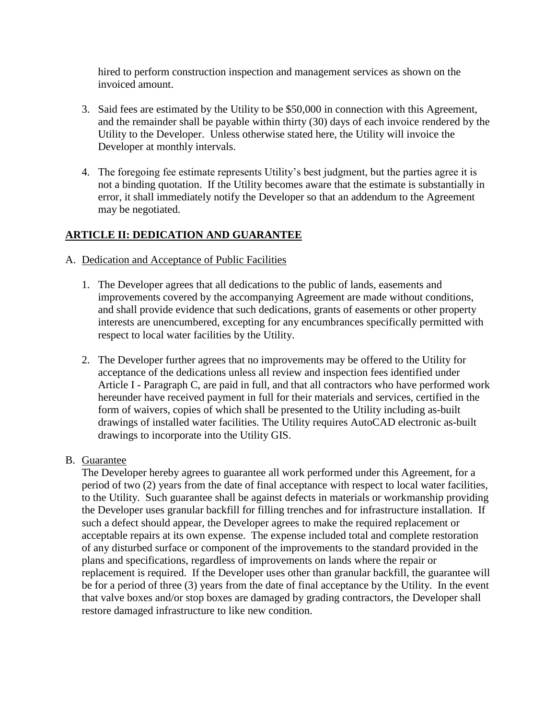hired to perform construction inspection and management services as shown on the invoiced amount.

- 3. Said fees are estimated by the Utility to be \$50,000 in connection with this Agreement, and the remainder shall be payable within thirty (30) days of each invoice rendered by the Utility to the Developer. Unless otherwise stated here, the Utility will invoice the Developer at monthly intervals.
- 4. The foregoing fee estimate represents Utility's best judgment, but the parties agree it is not a binding quotation. If the Utility becomes aware that the estimate is substantially in error, it shall immediately notify the Developer so that an addendum to the Agreement may be negotiated.

## **ARTICLE II: DEDICATION AND GUARANTEE**

- A. Dedication and Acceptance of Public Facilities
	- 1. The Developer agrees that all dedications to the public of lands, easements and improvements covered by the accompanying Agreement are made without conditions, and shall provide evidence that such dedications, grants of easements or other property interests are unencumbered, excepting for any encumbrances specifically permitted with respect to local water facilities by the Utility.
	- 2. The Developer further agrees that no improvements may be offered to the Utility for acceptance of the dedications unless all review and inspection fees identified under Article I - Paragraph C, are paid in full, and that all contractors who have performed work hereunder have received payment in full for their materials and services, certified in the form of waivers, copies of which shall be presented to the Utility including as-built drawings of installed water facilities. The Utility requires AutoCAD electronic as-built drawings to incorporate into the Utility GIS.
- B. Guarantee

The Developer hereby agrees to guarantee all work performed under this Agreement, for a period of two (2) years from the date of final acceptance with respect to local water facilities, to the Utility. Such guarantee shall be against defects in materials or workmanship providing the Developer uses granular backfill for filling trenches and for infrastructure installation. If such a defect should appear, the Developer agrees to make the required replacement or acceptable repairs at its own expense. The expense included total and complete restoration of any disturbed surface or component of the improvements to the standard provided in the plans and specifications, regardless of improvements on lands where the repair or replacement is required. If the Developer uses other than granular backfill, the guarantee will be for a period of three (3) years from the date of final acceptance by the Utility. In the event that valve boxes and/or stop boxes are damaged by grading contractors, the Developer shall restore damaged infrastructure to like new condition.